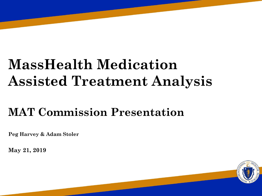# **MassHealth Medication Assisted Treatment Analysis**

## **MAT Commission Presentation**

**Peg Harvey & Adam Stoler**

**May 21, 2019**

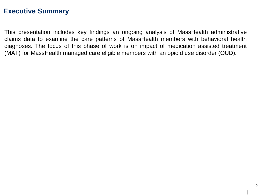#### **Executive Summary**

This presentation includes key findings an ongoing analysis of MassHealth administrative claims data to examine the care patterns of MassHealth members with behavioral health diagnoses. The focus of this phase of work is on impact of medication assisted treatment (MAT) for MassHealth managed care eligible members with an opioid use disorder (OUD).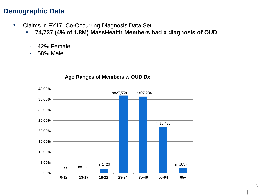#### **Demographic Data**

- Claims in FY17; Co-Occurring Diagnosis Data Set
	- **74,737 (4% of 1.8M) MassHealth Members had a diagnosis of OUD**
		- 42% Female
		- 58% Male



#### **Age Ranges of Members w OUD Dx**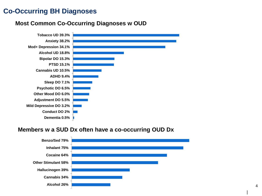#### **Co-Occurring BH Diagnoses**

#### **Most Common Co-Occurring Diagnoses w OUD**



#### **Members w a SUD Dx often have a co-occurring OUD Dx**

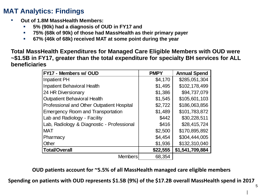- **Out of 1.8M MassHealth Members:** 
	- **5% (90k) had a diagnosis of OUD in FY17 and**
	- **75% (68k of 90k) of those had MassHealth as their primary payer**
	- **67% (46k of 68k) received MAT at some point during the year**

**Total MassHealth Expenditures for Managed Care Eligible Members with OUD were ~\$1.5B in FY17, greater than the total expenditure for specialty BH services for ALL beneficiaries**

| FY17 - Members w/ OUD                      | <b>PMPY</b> | <b>Annual Spend</b> |
|--------------------------------------------|-------------|---------------------|
| <b>Inpatient PH</b>                        | \$4,170     | \$285,051,304       |
| <b>Inpatient Behavioral Health</b>         | \$1,495     | \$102,178,499       |
| 24 HR Diversionary                         | \$1,386     | \$94,737,079        |
| <b>Outpatient Behavioral Health</b>        | \$1,545     | \$105,601,103       |
| Professional and Other Outpatient Hospital | \$2,722     | \$186,063,856       |
| <b>Emergency Room and Transportation</b>   | \$1,489     | \$101,783,872       |
| Lab and Radiology - Facility               | \$442       | \$30,228,511        |
| Lab, Radiology & Diagnostic - Professional | \$416       | \$28,415,724        |
| <b>MAT</b>                                 | \$2,500     | \$170,895,892       |
| Pharmacy                                   | \$4,454     | \$304,444,005       |
| Other                                      | \$1,936     | \$132,310,040       |
| <b>Total/Overall</b>                       | \$22,555    | \$1,541,709,884     |
| <b>Members</b>                             | 68,354      |                     |

**OUD patients account for ~5.5% of all MassHealth managed care eligible members**

**Spending on patients with OUD represents \$1.5B (9%) of the \$17.2B overall MassHealth spend in 2017**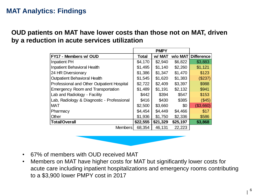#### **OUD patients on MAT have lower costs than those not on MAT, driven by a reduction in acute services utilization**

| <b>FY17 - Members w/ OUD</b>               | <b>Total</b> | w/ MAT   | w/o MAT  | <b>Difference</b> |
|--------------------------------------------|--------------|----------|----------|-------------------|
| Inpatient PH                               | \$4,170      | \$2,940  | \$6,822  | \$3,883           |
| <b>Inpatient Behavioral Health</b>         | \$1,495      | \$1,140  | \$2,260  | \$1,121           |
| 24 HR Diversionary                         | \$1,386      | \$1,347  | \$1,470  | \$123             |
| <b>Outpatient Behavioral Health</b>        | \$1,545      | \$1,620  | \$1,383  | (\$237)           |
| Professional and Other Outpatient Hospital | \$2,722      | \$2,409  | \$3,397  | \$988             |
| <b>Emergency Room and Transportation</b>   | \$1,489      | \$1,191  | \$2,132  | \$941             |
| Lab and Radiology - Facility               | \$442        | \$394    | \$547    | \$153             |
| Lab, Radiology & Diagnostic - Professional | \$416        | \$430    | \$385    | (\$45)            |
| <b>MAT</b>                                 | \$2,500      | \$3,660  | \$0      | (\$3,660)         |
| Pharmacy                                   | \$4,454      | \$4,449  | \$4,466  | \$17              |
| Other                                      | \$1,936      | \$1,750  | \$2,336  | \$586             |
| Total/Overall                              | \$22,555     | \$21,329 | \$25,197 | \$3,868           |
| <b>Members</b>                             | 68,354       | 46,131   | 22,223   |                   |



- 67% of members with OUD received MAT
- Members on MAT have higher costs for MAT but significantly lower costs for acute care including inpatient hospitalizations and emergency rooms contributing to a \$3,900 lower PMPY cost in 2017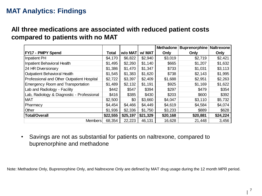#### **All three medications are associated with reduced patient costs compared to patients with no MAT**

|                                            |          |          |          | Methadone | <b>Buprenorphine   Naltrexone</b> |          |
|--------------------------------------------|----------|----------|----------|-----------|-----------------------------------|----------|
| <b>FY17 - PMPY Spend</b>                   | Total    | w/o MAT  | w/ MAT   | Only      | Only                              | Only     |
| <b>Inpatient PH</b>                        | \$4,170  | \$6,822  | \$2,940  | \$3,019   | \$2,719                           | \$2,421  |
| <b>Inpatient Behavioral Health</b>         | \$1,495  | \$2,260  | \$1,140  | \$665     | \$1,207                           | \$1,632  |
| 24 HR Diversionary                         | \$1,386  | \$1,470  | \$1,347  | \$733     | \$1,031                           | \$3,113  |
| <b>Outpatient Behavioral Health</b>        | \$1,545  | \$1,383  | \$1,620  | \$738     | \$2,143                           | \$1,995  |
| Professional and Other Outpatient Hospital | \$2,722  | \$3,397  | \$2,409  | \$1,688   | \$2,951                           | \$2,263  |
| <b>Emergency Room and Transportation</b>   | \$1,489  | \$2,132  | \$1,191  | \$925     | \$1,169                           | \$1,622  |
| Lab and Radiology - Facility               | \$442    | \$547    | \$394    | \$297     | \$479                             | \$354    |
| Lab, Radiology & Diagnostic - Professional | \$416    | \$385    | \$430    | \$203     | \$600                             | \$392    |
| <b>MAT</b>                                 | \$2,500  | \$0      | \$3,660  | \$4,047   | \$3,110                           | \$5,732  |
| Pharmacy                                   | \$4,454  | \$4,466  | \$4,449  | \$4,619   | \$4,584                           | \$4,074  |
| Other                                      | \$1,936  | \$2,336  | \$1,750  | \$3,233   | \$889                             | \$628    |
| <b>Total/Overall</b>                       | \$22,555 | \$25,197 | \$21,329 | \$20,168  | \$20,881                          | \$24,224 |
| <b>Members</b>                             | 68,354   | 22,223   | 46,131   | 16,628    | 21,448                            | 3,456    |

• Savings are not as substantial for patients on naltrexone, compared to buprenorphine and methadone

Note: Methadone Only, Buprenorphine Only, and Naltrexone Only are defined by MAT drug usage during the 12 month MPR period.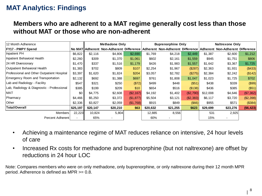#### **Members who are adherent to a MAT regime generally cost less than those without MAT or those who are non-adherent**

| 12 Month Adherence                         |          | <b>Methadone Only</b> |          |           | <b>Buprenorphine Only</b> |                                                                          |           | <b>Naltrexone Only</b> |                                  |            |
|--------------------------------------------|----------|-----------------------|----------|-----------|---------------------------|--------------------------------------------------------------------------|-----------|------------------------|----------------------------------|------------|
| <b>FY17 - PMPY Spend</b>                   |          |                       |          |           |                           | No MAT Adherent Non-Adherent Difference Adherent Non-Adherent Difference |           |                        | Adherent Non-Adherent Difference |            |
| Inpatient PH                               | \$6,822  | \$2,116               | \$4,806  | \$2,690   | \$1,769                   | \$4,218                                                                  | \$2,449   | \$1,387                | \$2,600                          | \$1,212    |
| Inpatient Behavioral Health                | \$2,260  | \$309                 | \$1,370  | \$1,061   | \$602                     | \$2,161                                                                  | \$1,559   | \$945                  | \$1,751                          | \$806      |
| 24 HR Diversionary                         | \$1,470  | \$337                 | \$1,516  | \$1,179   | \$426                     | \$1,983                                                                  | \$1,557   | \$1,642                | \$3,367                          | \$1,725    |
| Outpatient Behavioral Health               | \$1,383  | \$702                 | \$809    | \$107     | \$2,254                   | \$1,967                                                                  | (\$287)   | \$2,363                | \$1,931                          | (\$433)    |
| Professional and Other Outpatient Hospital | \$3,397  | \$1,620               | \$1,824  | \$204     | \$3,057                   | \$2,782                                                                  | (\$275)   | \$2,384                | \$2,242                          | (\$142)    |
| Emergency Room and Transportation          | \$2,132  | \$692                 | \$1,388  | \$697     | \$761                     | \$1,808                                                                  | \$1,047   | \$1,023                | \$1,725                          | \$702      |
| Lab and Radiology - Facility               | \$547    | \$321                 | \$250    | (\$72)    | \$499                     | \$448                                                                    | (\$51)    | \$438                  | \$339                            | (\$99)     |
| Lab, Radiology & Diagnostic - Professional | \$385    | \$199                 | \$209    | \$10      | \$654                     | \$516                                                                    | (\$138)   | \$436                  | \$385                            | (\$51)     |
| <b>MAT</b>                                 | \$0      | \$4,775               | \$2,608  | (\$2,167) | \$4,192                   | \$1,402                                                                  | (\$2,790) | \$12,008               | \$4,646                          | (\$7,362)  |
| Pharmacy                                   | \$4,466  | \$5,250               | \$3,372  | (\$1,877) | \$5,504                   | \$3,121                                                                  | (\$2,383) | \$6,117                | \$3,720                          | (\$2,398)  |
| <b>Other</b>                               | \$2,336  | \$3,827               | \$2,059  | (\$1,768) | \$915                     | \$849                                                                    | $($ \$66) | \$955                  | \$571                            | (\$384)    |
| <b>Total/Overall</b>                       | \$25,197 | \$20,147              | \$20,210 | \$63      | \$20,632                  | \$21,255                                                                 | \$623     | \$29,699               | \$23,276                         | ( \$6,423) |
| Members                                    | 22,223   | 10,824                | 5,804    |           | 12,885                    | 8,556                                                                    |           | 531                    | 2,925                            |            |
| <b>Percent Adherent</b>                    |          | 65%                   |          |           | 60%                       |                                                                          |           | 15%                    |                                  |            |

- Achieving a maintenance regime of MAT reduces reliance on intensive, 24 hour levels of care
- Increased Rx costs for methadone and buprenorphine (but not naltrexone) are offset by reductions in 24 hour LOC

Note: Compares members who were on only methadone, only buprenorphine, or only naltrexone during their 12 month MPR period. Adherence is defined as MPR >= 0.8.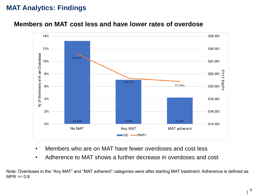

#### **Members on MAT cost less and have lower rates of overdose**

- Members who are on MAT have fewer overdoses and cost less
- Adherence to MAT shows a further decrease in overdoses and cost

Note: Overdoses in the "Any MAT" and "MAT adherent" categories were after starting MAT treatment. Adherence is defined as  $MPR >= 0.8$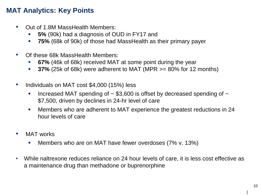#### **MAT Analytics: Key Points**

- Out of 1.8M MassHealth Members:
	- **5%** (90k) had a diagnosis of OUD in FY17 and
	- **75%** (68k of 90k) of those had MassHealth as their primary payer
- Of these 68k MassHealth Members:
	- **67%** (46k of 68k) received MAT at some point during the year
	- **37%** (25k of 68k) were adherent to MAT (MPR >= 80% for 12 months)
- Individuals on MAT cost \$4,000 (15%) less
	- Increased MAT spending of  $\sim$  \$3,600 is offset by decreased spending of  $\sim$ \$7,500, driven by declines in 24-hr level of care
	- Members who are adherent to MAT experience the greatest reductions in 24 hour levels of care
- MAT works
	- **Members who are on MAT have fewer overdoses (7% v. 13%)**
- While naltrexone reduces reliance on 24 hour levels of care, it is less cost effective as a maintenance drug than methadone or buprenorphine